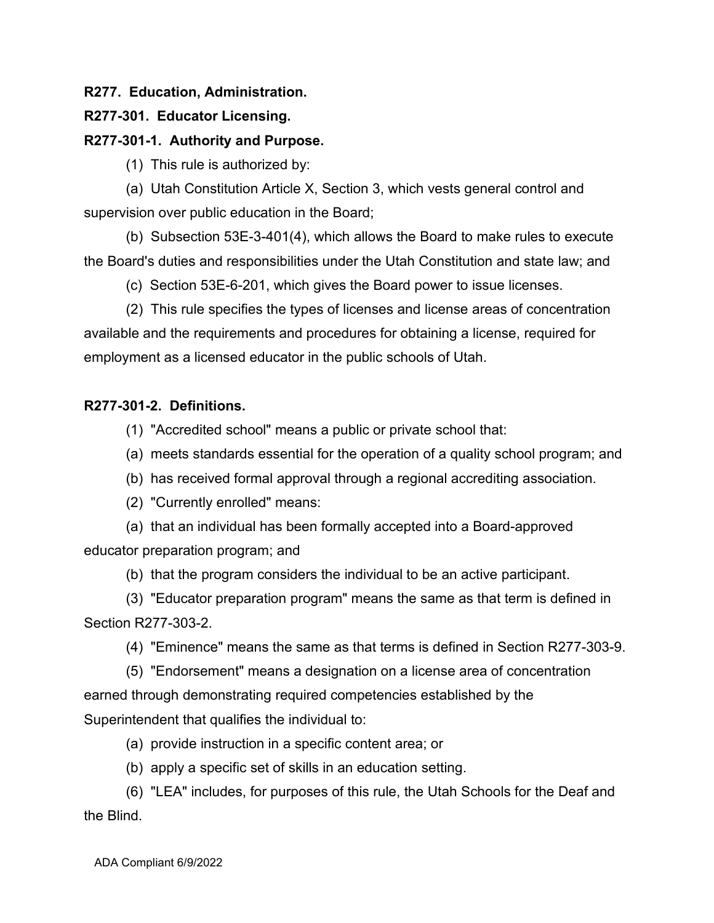# **R277. Education, Administration.**

### **R277-301. Educator Licensing.**

### **R277-301-1. Authority and Purpose.**

(1) This rule is authorized by:

(a) Utah Constitution Article X, Section 3, which vests general control and supervision over public education in the Board;

(b) Subsection 53E-3-401(4), which allows the Board to make rules to execute the Board's duties and responsibilities under the Utah Constitution and state law; and

(c) Section 53E-6-201, which gives the Board power to issue licenses.

(2) This rule specifies the types of licenses and license areas of concentration available and the requirements and procedures for obtaining a license, required for employment as a licensed educator in the public schools of Utah.

# **R277-301-2. Definitions.**

(1) "Accredited school" means a public or private school that:

- (a) meets standards essential for the operation of a quality school program; and
- (b) has received formal approval through a regional accrediting association.
- (2) "Currently enrolled" means:

(a) that an individual has been formally accepted into a Board-approved educator preparation program; and

(b) that the program considers the individual to be an active participant.

(3) "Educator preparation program" means the same as that term is defined in Section R277-303-2.

(4) "Eminence" means the same as that terms is defined in Section R277-303-9.

(5) "Endorsement" means a designation on a license area of concentration earned through demonstrating required competencies established by the Superintendent that qualifies the individual to:

(a) provide instruction in a specific content area; or

(b) apply a specific set of skills in an education setting.

(6) "LEA" includes, for purposes of this rule, the Utah Schools for the Deaf and the Blind.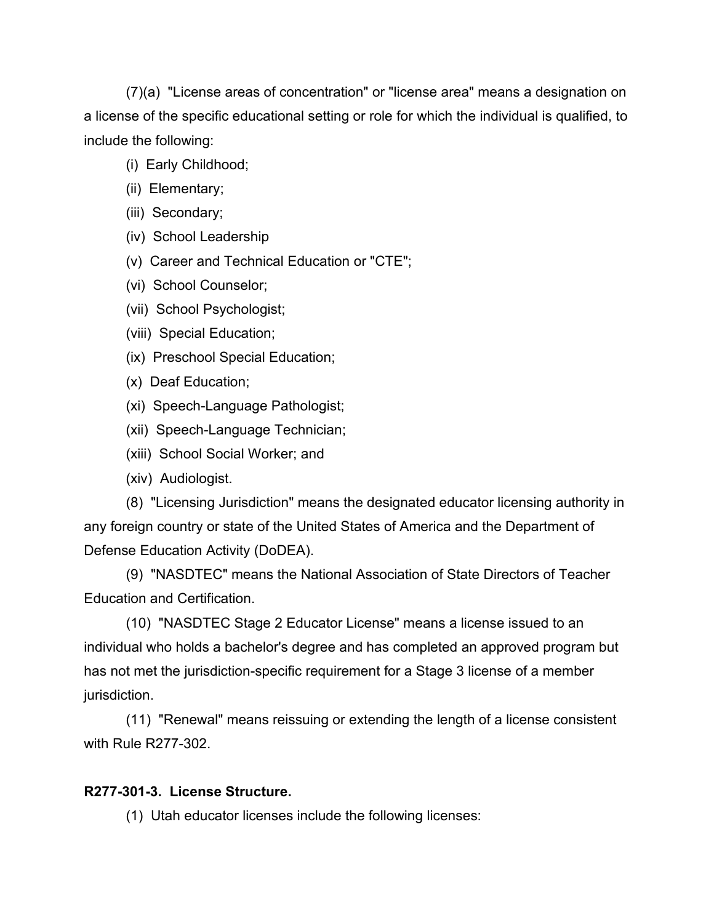(7)(a) "License areas of concentration" or "license area" means a designation on a license of the specific educational setting or role for which the individual is qualified, to include the following:

- (i) Early Childhood;
- (ii) Elementary;
- (iii) Secondary;
- (iv) School Leadership
- (v) Career and Technical Education or "CTE";
- (vi) School Counselor;
- (vii) School Psychologist;
- (viii) Special Education;
- (ix) Preschool Special Education;
- (x) Deaf Education;
- (xi) Speech-Language Pathologist;
- (xii) Speech-Language Technician;
- (xiii) School Social Worker; and
- (xiv) Audiologist.

(8) "Licensing Jurisdiction" means the designated educator licensing authority in any foreign country or state of the United States of America and the Department of Defense Education Activity (DoDEA).

(9) "NASDTEC" means the National Association of State Directors of Teacher Education and Certification.

(10) "NASDTEC Stage 2 Educator License" means a license issued to an individual who holds a bachelor's degree and has completed an approved program but has not met the jurisdiction-specific requirement for a Stage 3 license of a member jurisdiction.

(11) "Renewal" means reissuing or extending the length of a license consistent with Rule R277-302.

# **R277-301-3. License Structure.**

(1) Utah educator licenses include the following licenses: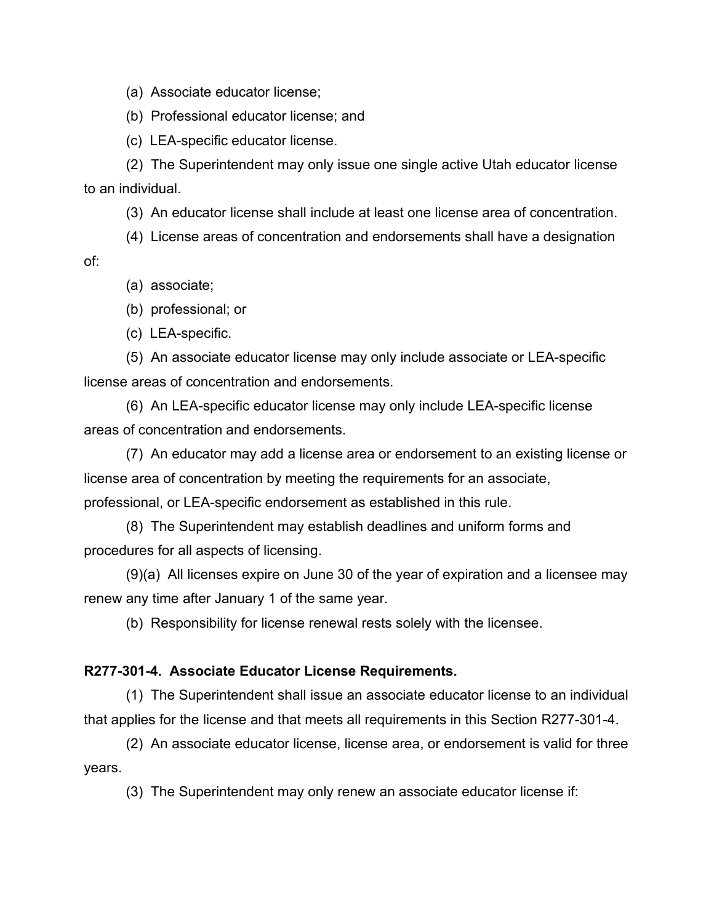(a) Associate educator license;

(b) Professional educator license; and

(c) LEA-specific educator license.

(2) The Superintendent may only issue one single active Utah educator license to an individual.

(3) An educator license shall include at least one license area of concentration.

(4) License areas of concentration and endorsements shall have a designation of:

(a) associate;

(b) professional; or

(c) LEA-specific.

(5) An associate educator license may only include associate or LEA-specific license areas of concentration and endorsements.

(6) An LEA-specific educator license may only include LEA-specific license areas of concentration and endorsements.

(7) An educator may add a license area or endorsement to an existing license or license area of concentration by meeting the requirements for an associate, professional, or LEA-specific endorsement as established in this rule.

(8) The Superintendent may establish deadlines and uniform forms and procedures for all aspects of licensing.

(9)(a) All licenses expire on June 30 of the year of expiration and a licensee may renew any time after January 1 of the same year.

(b) Responsibility for license renewal rests solely with the licensee.

#### **R277-301-4. Associate Educator License Requirements.**

(1) The Superintendent shall issue an associate educator license to an individual that applies for the license and that meets all requirements in this Section R277-301-4.

(2) An associate educator license, license area, or endorsement is valid for three years.

(3) The Superintendent may only renew an associate educator license if: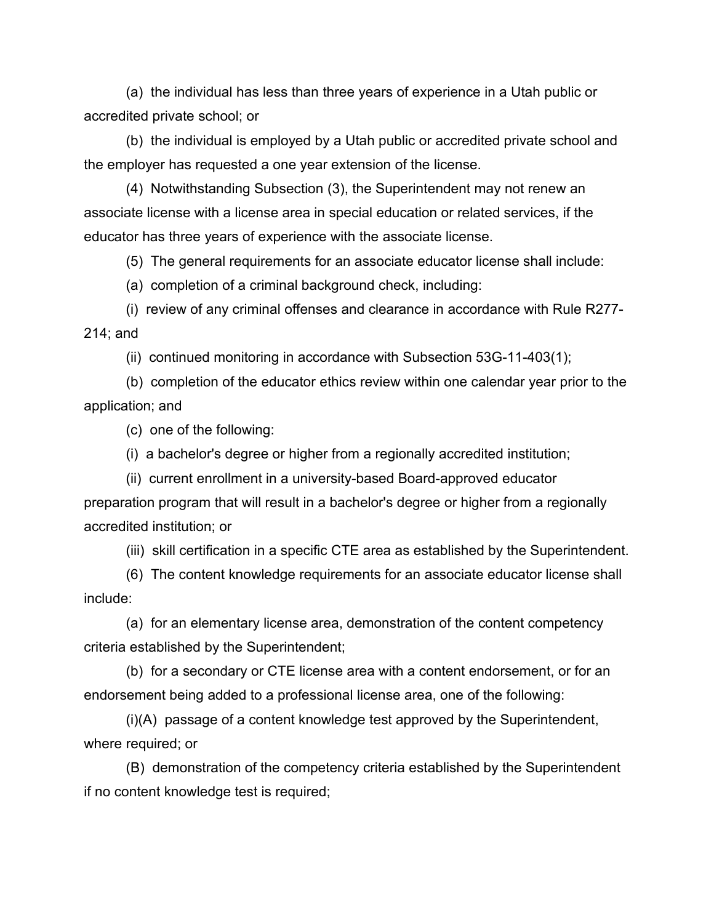(a) the individual has less than three years of experience in a Utah public or accredited private school; or

(b) the individual is employed by a Utah public or accredited private school and the employer has requested a one year extension of the license.

(4) Notwithstanding Subsection (3), the Superintendent may not renew an associate license with a license area in special education or related services, if the educator has three years of experience with the associate license.

(5) The general requirements for an associate educator license shall include:

(a) completion of a criminal background check, including:

(i) review of any criminal offenses and clearance in accordance with Rule R277- 214; and

(ii) continued monitoring in accordance with Subsection 53G-11-403(1);

(b) completion of the educator ethics review within one calendar year prior to the application; and

(c) one of the following:

(i) a bachelor's degree or higher from a regionally accredited institution;

(ii) current enrollment in a university-based Board-approved educator preparation program that will result in a bachelor's degree or higher from a regionally accredited institution; or

(iii) skill certification in a specific CTE area as established by the Superintendent.

(6) The content knowledge requirements for an associate educator license shall include:

(a) for an elementary license area, demonstration of the content competency criteria established by the Superintendent;

(b) for a secondary or CTE license area with a content endorsement, or for an endorsement being added to a professional license area, one of the following:

(i)(A) passage of a content knowledge test approved by the Superintendent, where required; or

(B) demonstration of the competency criteria established by the Superintendent if no content knowledge test is required;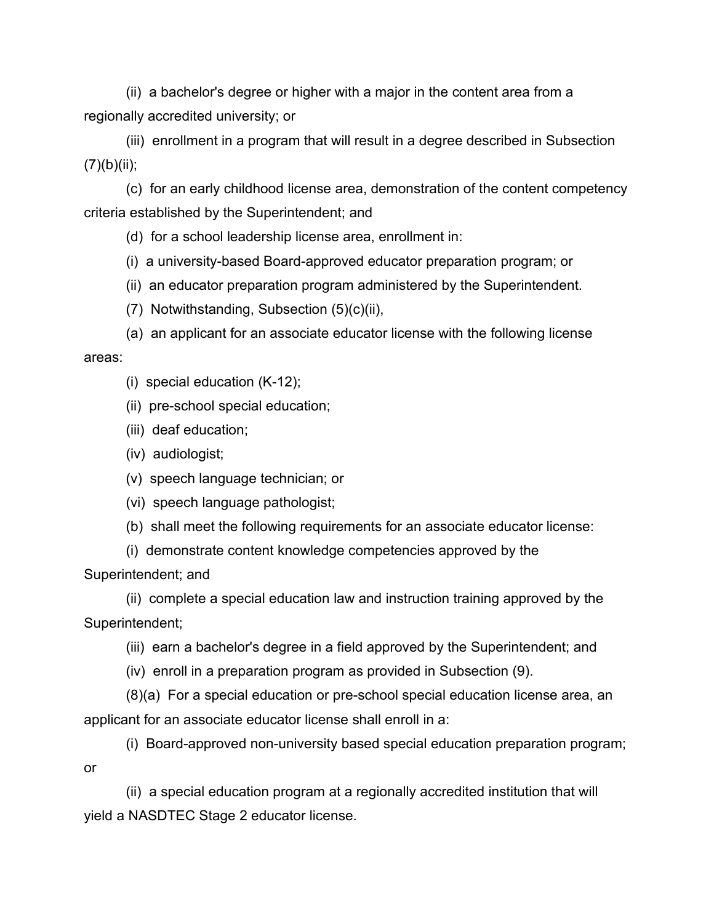(ii) a bachelor's degree or higher with a major in the content area from a regionally accredited university; or

(iii) enrollment in a program that will result in a degree described in Subsection  $(7)(b)(ii);$ 

(c) for an early childhood license area, demonstration of the content competency criteria established by the Superintendent; and

(d) for a school leadership license area, enrollment in:

(i) a university-based Board-approved educator preparation program; or

- (ii) an educator preparation program administered by the Superintendent.
- (7) Notwithstanding, Subsection (5)(c)(ii),
- (a) an applicant for an associate educator license with the following license areas:
	- (i) special education (K-12);
	- (ii) pre-school special education;
	- (iii) deaf education;
	- (iv) audiologist;
	- (v) speech language technician; or
	- (vi) speech language pathologist;
	- (b) shall meet the following requirements for an associate educator license:
	- (i) demonstrate content knowledge competencies approved by the

Superintendent; and

(ii) complete a special education law and instruction training approved by the Superintendent;

- (iii) earn a bachelor's degree in a field approved by the Superintendent; and
- (iv) enroll in a preparation program as provided in Subsection (9).

(8)(a) For a special education or pre-school special education license area, an applicant for an associate educator license shall enroll in a:

(i) Board-approved non-university based special education preparation program; or

(ii) a special education program at a regionally accredited institution that will yield a NASDTEC Stage 2 educator license.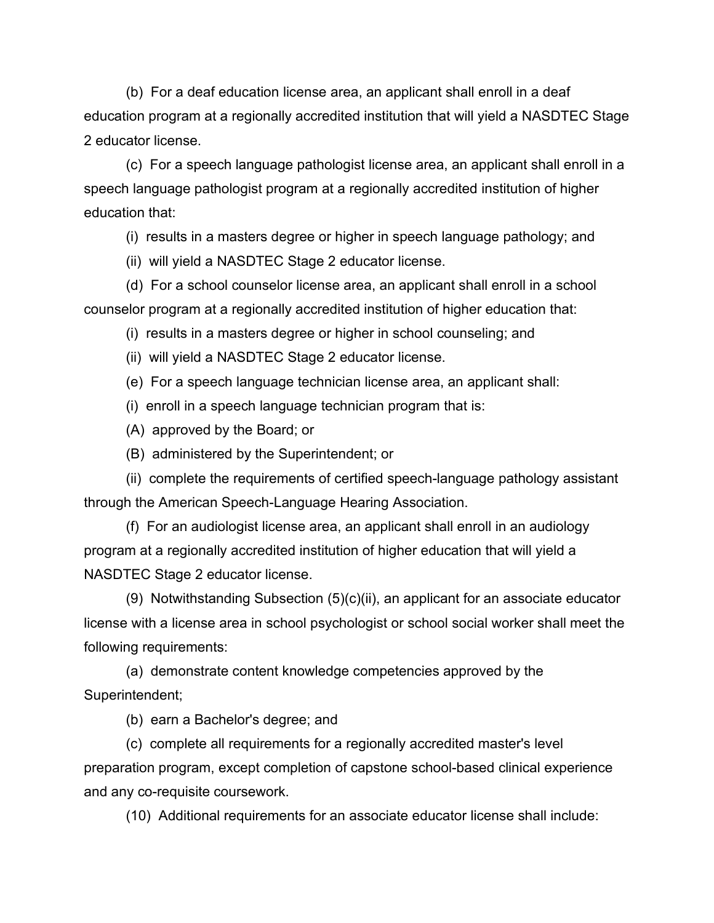(b) For a deaf education license area, an applicant shall enroll in a deaf education program at a regionally accredited institution that will yield a NASDTEC Stage 2 educator license.

(c) For a speech language pathologist license area, an applicant shall enroll in a speech language pathologist program at a regionally accredited institution of higher education that:

(i) results in a masters degree or higher in speech language pathology; and

(ii) will yield a NASDTEC Stage 2 educator license.

(d) For a school counselor license area, an applicant shall enroll in a school counselor program at a regionally accredited institution of higher education that:

(i) results in a masters degree or higher in school counseling; and

(ii) will yield a NASDTEC Stage 2 educator license.

(e) For a speech language technician license area, an applicant shall:

(i) enroll in a speech language technician program that is:

(A) approved by the Board; or

(B) administered by the Superintendent; or

(ii) complete the requirements of certified speech-language pathology assistant through the American Speech-Language Hearing Association.

(f) For an audiologist license area, an applicant shall enroll in an audiology program at a regionally accredited institution of higher education that will yield a NASDTEC Stage 2 educator license.

(9) Notwithstanding Subsection (5)(c)(ii), an applicant for an associate educator license with a license area in school psychologist or school social worker shall meet the following requirements:

(a) demonstrate content knowledge competencies approved by the Superintendent;

(b) earn a Bachelor's degree; and

(c) complete all requirements for a regionally accredited master's level preparation program, except completion of capstone school-based clinical experience and any co-requisite coursework.

(10) Additional requirements for an associate educator license shall include: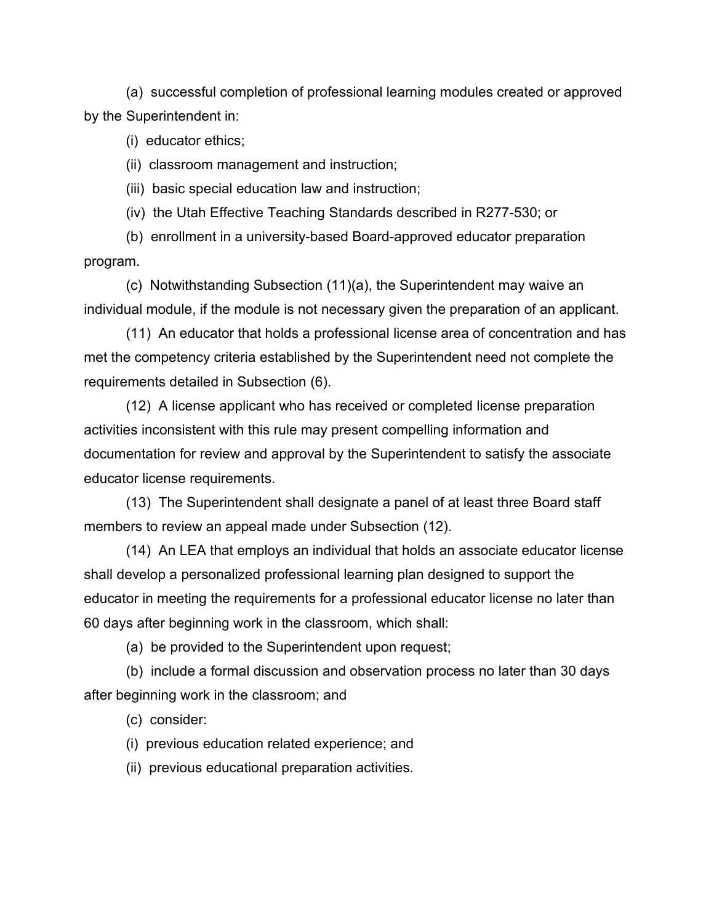(a) successful completion of professional learning modules created or approved by the Superintendent in:

(i) educator ethics;

(ii) classroom management and instruction;

(iii) basic special education law and instruction;

(iv) the Utah Effective Teaching Standards described in R277-530; or

(b) enrollment in a university-based Board-approved educator preparation program.

(c) Notwithstanding Subsection (11)(a), the Superintendent may waive an individual module, if the module is not necessary given the preparation of an applicant.

(11) An educator that holds a professional license area of concentration and has met the competency criteria established by the Superintendent need not complete the requirements detailed in Subsection (6).

(12) A license applicant who has received or completed license preparation activities inconsistent with this rule may present compelling information and documentation for review and approval by the Superintendent to satisfy the associate educator license requirements.

(13) The Superintendent shall designate a panel of at least three Board staff members to review an appeal made under Subsection (12).

(14) An LEA that employs an individual that holds an associate educator license shall develop a personalized professional learning plan designed to support the educator in meeting the requirements for a professional educator license no later than 60 days after beginning work in the classroom, which shall:

(a) be provided to the Superintendent upon request;

(b) include a formal discussion and observation process no later than 30 days after beginning work in the classroom; and

(c) consider:

(i) previous education related experience; and

(ii) previous educational preparation activities.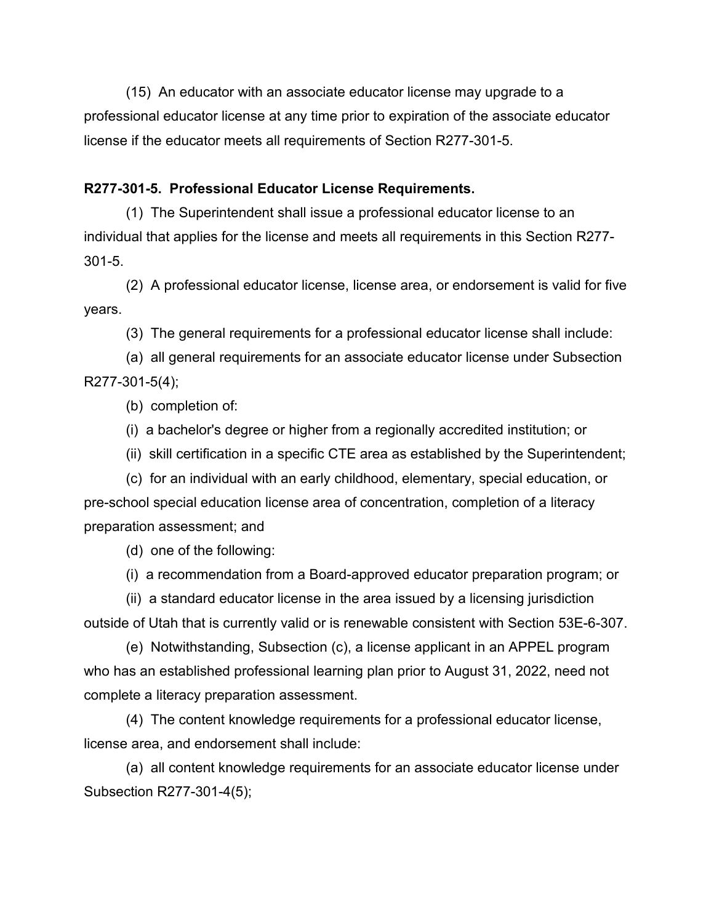(15) An educator with an associate educator license may upgrade to a professional educator license at any time prior to expiration of the associate educator license if the educator meets all requirements of Section R277-301-5.

### **R277-301-5. Professional Educator License Requirements.**

(1) The Superintendent shall issue a professional educator license to an individual that applies for the license and meets all requirements in this Section R277- 301-5.

(2) A professional educator license, license area, or endorsement is valid for five years.

(3) The general requirements for a professional educator license shall include:

(a) all general requirements for an associate educator license under Subsection R277-301-5(4);

(b) completion of:

(i) a bachelor's degree or higher from a regionally accredited institution; or

(ii) skill certification in a specific CTE area as established by the Superintendent;

(c) for an individual with an early childhood, elementary, special education, or pre-school special education license area of concentration, completion of a literacy preparation assessment; and

(d) one of the following:

(i) a recommendation from a Board-approved educator preparation program; or

(ii) a standard educator license in the area issued by a licensing jurisdiction outside of Utah that is currently valid or is renewable consistent with Section 53E-6-307.

(e) Notwithstanding, Subsection (c), a license applicant in an APPEL program who has an established professional learning plan prior to August 31, 2022, need not complete a literacy preparation assessment.

(4) The content knowledge requirements for a professional educator license, license area, and endorsement shall include:

(a) all content knowledge requirements for an associate educator license under Subsection R277-301-4(5);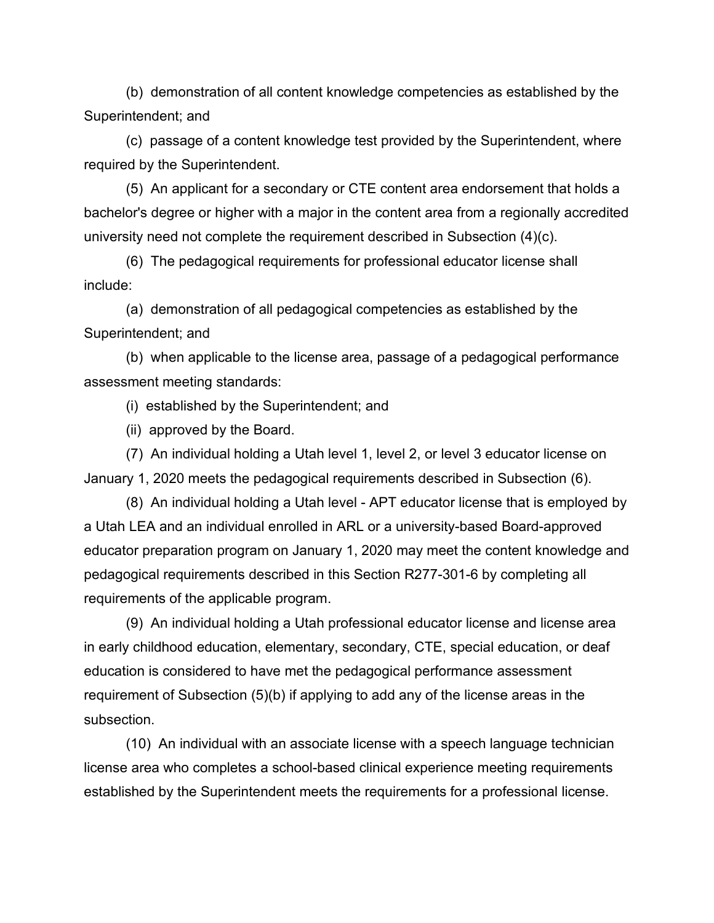(b) demonstration of all content knowledge competencies as established by the Superintendent; and

(c) passage of a content knowledge test provided by the Superintendent, where required by the Superintendent.

(5) An applicant for a secondary or CTE content area endorsement that holds a bachelor's degree or higher with a major in the content area from a regionally accredited university need not complete the requirement described in Subsection (4)(c).

(6) The pedagogical requirements for professional educator license shall include:

(a) demonstration of all pedagogical competencies as established by the Superintendent; and

(b) when applicable to the license area, passage of a pedagogical performance assessment meeting standards:

(i) established by the Superintendent; and

(ii) approved by the Board.

(7) An individual holding a Utah level 1, level 2, or level 3 educator license on January 1, 2020 meets the pedagogical requirements described in Subsection (6).

(8) An individual holding a Utah level - APT educator license that is employed by a Utah LEA and an individual enrolled in ARL or a university-based Board-approved educator preparation program on January 1, 2020 may meet the content knowledge and pedagogical requirements described in this Section R277-301-6 by completing all requirements of the applicable program.

(9) An individual holding a Utah professional educator license and license area in early childhood education, elementary, secondary, CTE, special education, or deaf education is considered to have met the pedagogical performance assessment requirement of Subsection (5)(b) if applying to add any of the license areas in the subsection.

(10) An individual with an associate license with a speech language technician license area who completes a school-based clinical experience meeting requirements established by the Superintendent meets the requirements for a professional license.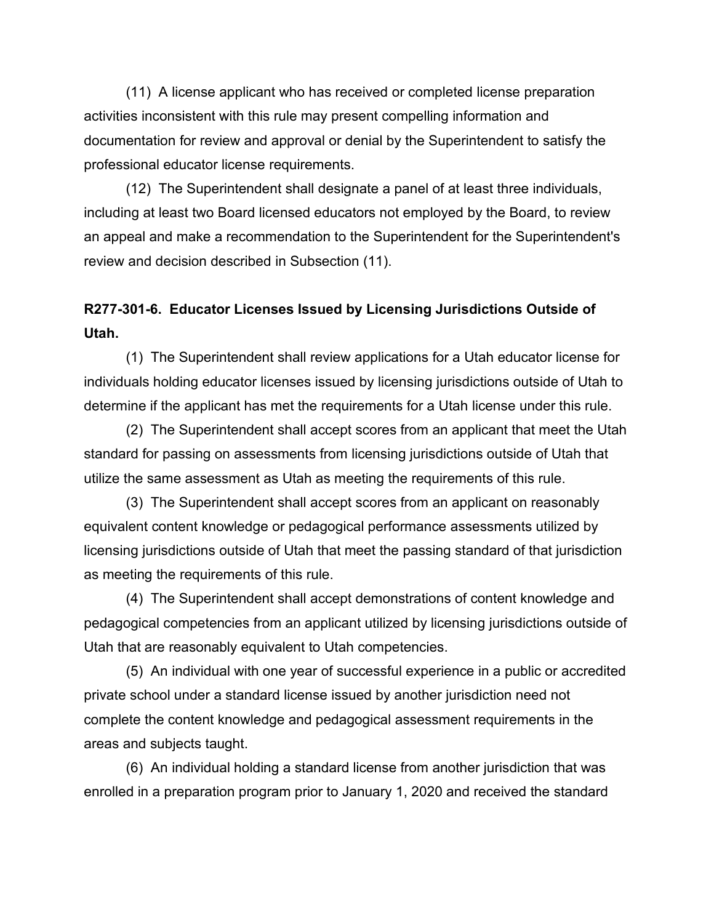(11) A license applicant who has received or completed license preparation activities inconsistent with this rule may present compelling information and documentation for review and approval or denial by the Superintendent to satisfy the professional educator license requirements.

(12) The Superintendent shall designate a panel of at least three individuals, including at least two Board licensed educators not employed by the Board, to review an appeal and make a recommendation to the Superintendent for the Superintendent's review and decision described in Subsection (11).

# **R277-301-6. Educator Licenses Issued by Licensing Jurisdictions Outside of Utah.**

(1) The Superintendent shall review applications for a Utah educator license for individuals holding educator licenses issued by licensing jurisdictions outside of Utah to determine if the applicant has met the requirements for a Utah license under this rule.

(2) The Superintendent shall accept scores from an applicant that meet the Utah standard for passing on assessments from licensing jurisdictions outside of Utah that utilize the same assessment as Utah as meeting the requirements of this rule.

(3) The Superintendent shall accept scores from an applicant on reasonably equivalent content knowledge or pedagogical performance assessments utilized by licensing jurisdictions outside of Utah that meet the passing standard of that jurisdiction as meeting the requirements of this rule.

(4) The Superintendent shall accept demonstrations of content knowledge and pedagogical competencies from an applicant utilized by licensing jurisdictions outside of Utah that are reasonably equivalent to Utah competencies.

(5) An individual with one year of successful experience in a public or accredited private school under a standard license issued by another jurisdiction need not complete the content knowledge and pedagogical assessment requirements in the areas and subjects taught.

(6) An individual holding a standard license from another jurisdiction that was enrolled in a preparation program prior to January 1, 2020 and received the standard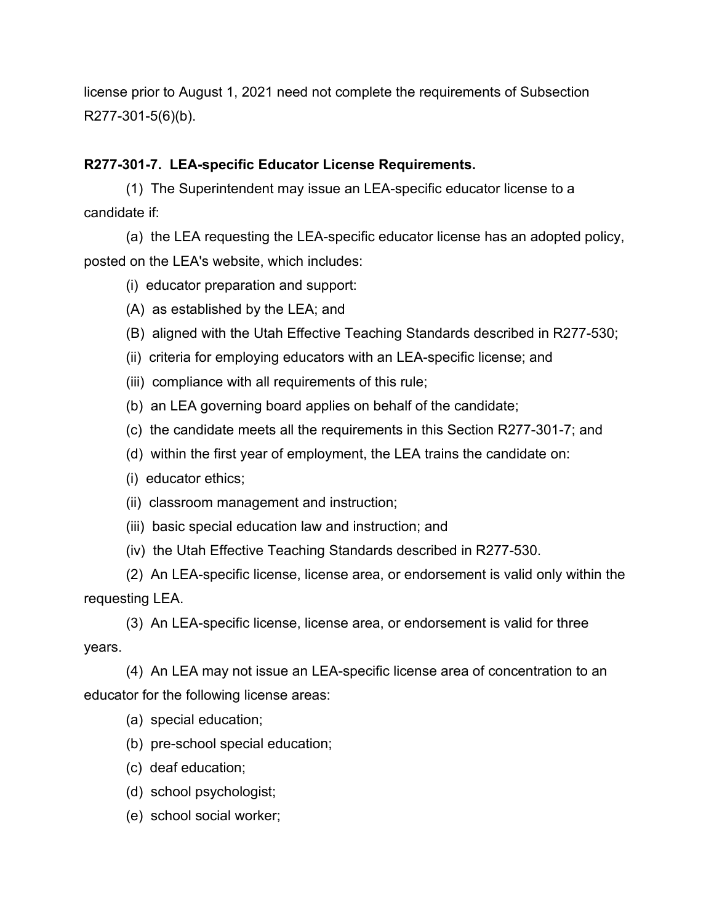license prior to August 1, 2021 need not complete the requirements of Subsection R277-301-5(6)(b).

# **R277-301-7. LEA-specific Educator License Requirements.**

(1) The Superintendent may issue an LEA-specific educator license to a candidate if:

(a) the LEA requesting the LEA-specific educator license has an adopted policy, posted on the LEA's website, which includes:

- (i) educator preparation and support:
- (A) as established by the LEA; and
- (B) aligned with the Utah Effective Teaching Standards described in R277-530;
- (ii) criteria for employing educators with an LEA-specific license; and
- (iii) compliance with all requirements of this rule;
- (b) an LEA governing board applies on behalf of the candidate;
- (c) the candidate meets all the requirements in this Section R277-301-7; and
- (d) within the first year of employment, the LEA trains the candidate on:
- (i) educator ethics;
- (ii) classroom management and instruction;
- (iii) basic special education law and instruction; and
- (iv) the Utah Effective Teaching Standards described in R277-530.

(2) An LEA-specific license, license area, or endorsement is valid only within the requesting LEA.

(3) An LEA-specific license, license area, or endorsement is valid for three years.

(4) An LEA may not issue an LEA-specific license area of concentration to an educator for the following license areas:

- (a) special education;
- (b) pre-school special education;
- (c) deaf education;
- (d) school psychologist;
- (e) school social worker;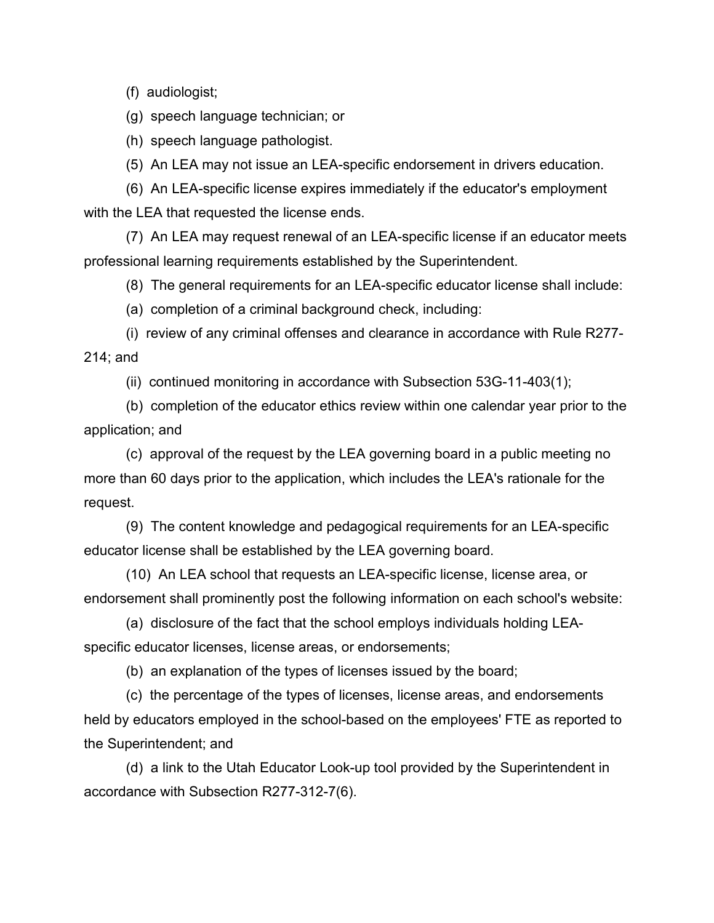(f) audiologist;

(g) speech language technician; or

(h) speech language pathologist.

(5) An LEA may not issue an LEA-specific endorsement in drivers education.

(6) An LEA-specific license expires immediately if the educator's employment with the LEA that requested the license ends.

(7) An LEA may request renewal of an LEA-specific license if an educator meets professional learning requirements established by the Superintendent.

(8) The general requirements for an LEA-specific educator license shall include:

(a) completion of a criminal background check, including:

(i) review of any criminal offenses and clearance in accordance with Rule R277- 214; and

(ii) continued monitoring in accordance with Subsection 53G-11-403(1);

(b) completion of the educator ethics review within one calendar year prior to the application; and

(c) approval of the request by the LEA governing board in a public meeting no more than 60 days prior to the application, which includes the LEA's rationale for the request.

(9) The content knowledge and pedagogical requirements for an LEA-specific educator license shall be established by the LEA governing board.

(10) An LEA school that requests an LEA-specific license, license area, or endorsement shall prominently post the following information on each school's website:

(a) disclosure of the fact that the school employs individuals holding LEAspecific educator licenses, license areas, or endorsements;

(b) an explanation of the types of licenses issued by the board;

(c) the percentage of the types of licenses, license areas, and endorsements held by educators employed in the school-based on the employees' FTE as reported to the Superintendent; and

(d) a link to the Utah Educator Look-up tool provided by the Superintendent in accordance with Subsection R277-312-7(6).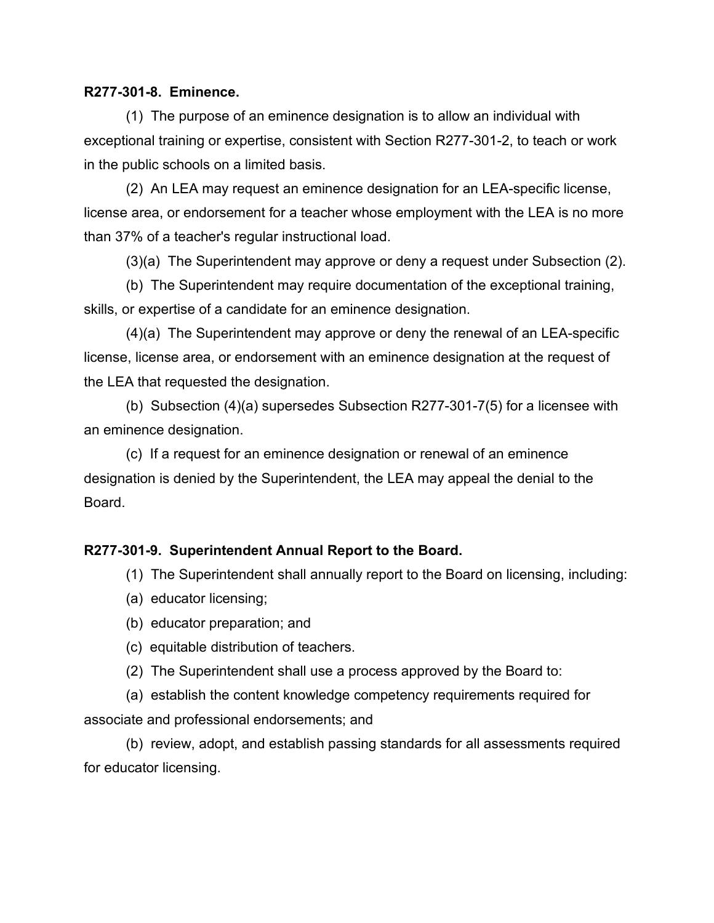#### **R277-301-8. Eminence.**

(1) The purpose of an eminence designation is to allow an individual with exceptional training or expertise, consistent with Section R277-301-2, to teach or work in the public schools on a limited basis.

(2) An LEA may request an eminence designation for an LEA-specific license, license area, or endorsement for a teacher whose employment with the LEA is no more than 37% of a teacher's regular instructional load.

(3)(a) The Superintendent may approve or deny a request under Subsection (2).

(b) The Superintendent may require documentation of the exceptional training, skills, or expertise of a candidate for an eminence designation.

(4)(a) The Superintendent may approve or deny the renewal of an LEA-specific license, license area, or endorsement with an eminence designation at the request of the LEA that requested the designation.

(b) Subsection (4)(a) supersedes Subsection R277-301-7(5) for a licensee with an eminence designation.

(c) If a request for an eminence designation or renewal of an eminence designation is denied by the Superintendent, the LEA may appeal the denial to the Board.

#### **R277-301-9. Superintendent Annual Report to the Board.**

- (1) The Superintendent shall annually report to the Board on licensing, including:
- (a) educator licensing;
- (b) educator preparation; and
- (c) equitable distribution of teachers.
- (2) The Superintendent shall use a process approved by the Board to:

(a) establish the content knowledge competency requirements required for associate and professional endorsements; and

(b) review, adopt, and establish passing standards for all assessments required for educator licensing.